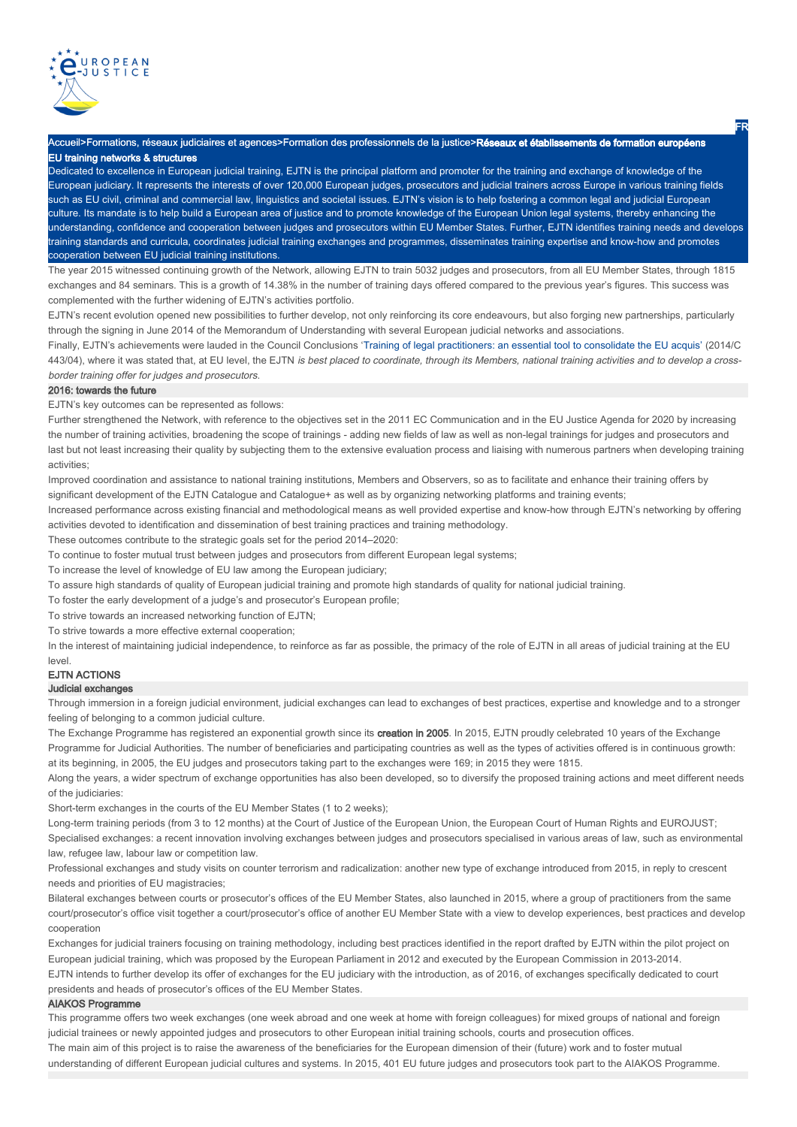

**Accueil>Formations, réseaux judiciaires et agences>Formation des professionnels de la justice>Réseaux et établissements de formation européens** EU training networks & structures

Dedicated to excellence in European judicial training, EJTN is the principal platform and promoter for the training and exchange of knowledge of the European judiciary. It represents the interests of over 120,000 European judges, prosecutors and judicial trainers across Europe in various training fields such as EU civil, criminal and commercial law, linguistics and societal issues. EJTN's vision is to help fostering a common legal and judicial European culture. Its mandate is to help build a European area of justice and to promote knowledge of the European Union legal systems, thereby enhancing the understanding, confidence and cooperation between judges and prosecutors within EU Member States. Further, EJTN identifies training needs and develops training standards and curricula, coordinates judicial training exchanges and programmes, disseminates training expertise and know-how and promotes cooperation between EU judicial training institutions.

The year 2015 witnessed continuing growth of the Network, allowing EJTN to train 5032 judges and prosecutors, from all EU Member States, through 1815 exchanges and 84 seminars. This is a growth of 14.38% in the number of training days offered compared to the previous year's figures. This success was complemented with the further widening of EJTN's activities portfolio.

EJTN's recent evolution opened new possibilities to further develop, not only reinforcing its core endeavours, but also forging new partnerships, particularly through the signing in June 2014 of the Memorandum of Understanding with several European judicial networks and associations.

Finally, EJTN's achievements were lauded in the Council Conclusions 'Training of legal practitioners: an essential tool to consolidate the EU acquis' (2014/C 443/04), where it was stated that, at EU level, the EJTN is best placed to coordinate, through its Members, national training activities and to develop a crossborder training offer for judges and prosecutors.

### 2016: towards the future

EJTN's key outcomes can be represented as follows:

Further strengthened the Network, with reference to the objectives set in the 2011 EC Communication and in the EU Justice Agenda for 2020 by increasing the number of training activities, broadening the scope of trainings - adding new fields of law as well as non-legal trainings for judges and prosecutors and last but not least increasing their quality by subjecting them to the extensive evaluation process and liaising with numerous partners when developing training activities;

Improved coordination and assistance to national training institutions, Members and Observers, so as to facilitate and enhance their training offers by significant development of the EJTN Catalogue and Catalogue+ as well as by organizing networking platforms and training events;

Increased performance across existing financial and methodological means as well provided expertise and know-how through EJTN's networking by offering activities devoted to identification and dissemination of best training practices and training methodology.

These outcomes contribute to the strategic goals set for the period 2014–2020:

To continue to foster mutual trust between judges and prosecutors from different European legal systems;

To increase the level of knowledge of EU law among the European judiciary;

To assure high standards of quality of European judicial training and promote high standards of quality for national judicial training.

To foster the early development of a judge's and prosecutor's European profile;

To strive towards an increased networking function of EJTN;

To strive towards a more effective external cooperation;

In the interest of maintaining judicial independence, to reinforce as far as possible, the primacy of the role of EJTN in all areas of judicial training at the EU

#### EJTN ACTIONS level.

#### Judicial exchanges

Through immersion in a foreign judicial environment, judicial exchanges can lead to exchanges of best practices, expertise and knowledge and to a stronger feeling of belonging to a common judicial culture.

The Exchange Programme has registered an exponential growth since its creation in 2005. In 2015, EJTN proudly celebrated 10 years of the Exchange Programme for Judicial Authorities. The number of beneficiaries and participating countries as well as the types of activities offered is in continuous growth: at its beginning, in 2005, the EU judges and prosecutors taking part to the exchanges were 169; in 2015 they were 1815.

Along the years, a wider spectrum of exchange opportunities has also been developed, so to diversify the proposed training actions and meet different needs of the judiciaries:

Short-term exchanges in the courts of the EU Member States (1 to 2 weeks);

Long-term training periods (from 3 to 12 months) at the Court of Justice of the European Union, the European Court of Human Rights and EUROJUST; Specialised exchanges: a recent innovation involving exchanges between judges and prosecutors specialised in various areas of law, such as environmental law, refugee law, labour law or competition law.

Professional exchanges and study visits on counter terrorism and radicalization: another new type of exchange introduced from 2015, in reply to crescent needs and priorities of EU magistracies;

Bilateral exchanges between courts or prosecutor's offices of the EU Member States, also launched in 2015, where a group of practitioners from the same court/prosecutor's office visit together a court/prosecutor's office of another EU Member State with a view to develop experiences, best practices and develop cooperation

EJTN intends to further develop its offer of exchanges for the EU judiciary with the introduction, as of 2016, of exchanges specifically dedicated to court presidents and heads of prosecutor's offices of the EU Member States. Exchanges for judicial trainers focusing on training methodology, including best practices identified in the report drafted by EJTN within the pilot project on European judicial training, which was proposed by the European Parliament in 2012 and executed by the European Commission in 2013-2014.

#### AIAKOS Programme

This programme offers two week exchanges (one week abroad and one week at home with foreign colleagues) for mixed groups of national and foreign judicial trainees or newly appointed judges and prosecutors to other European initial training schools, courts and prosecution offices. The main aim of this project is to raise the awareness of the beneficiaries for the European dimension of their (future) work and to foster mutual understanding of different European judicial cultures and systems. In 2015, 401 EU future judges and prosecutors took part to the AIAKOS Programme.

FR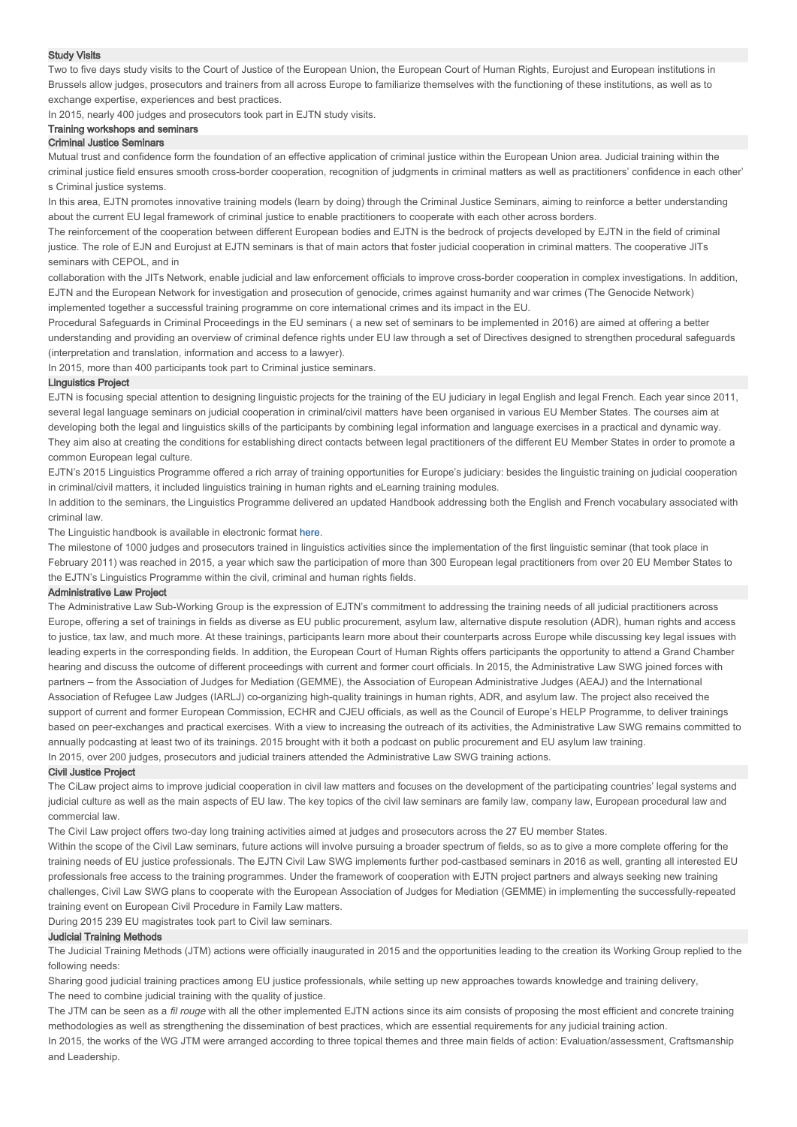#### Study Visits

Two to five days study visits to the Court of Justice of the European Union, the European Court of Human Rights, Eurojust and European institutions in Brussels allow judges, prosecutors and trainers from all across Europe to familiarize themselves with the functioning of these institutions, as well as to exchange expertise, experiences and best practices.

In 2015, nearly 400 judges and prosecutors took part in EJTN study visits.

# Training workshops and seminars

# Criminal Justice Seminars

Mutual trust and confidence form the foundation of an effective application of criminal justice within the European Union area. Judicial training within the criminal justice field ensures smooth cross-border cooperation, recognition of judgments in criminal matters as well as practitioners' confidence in each other' s Criminal justice systems.

In this area, EJTN promotes innovative training models (learn by doing) through the Criminal Justice Seminars, aiming to reinforce a better understanding about the current EU legal framework of criminal justice to enable practitioners to cooperate with each other across borders.

The reinforcement of the cooperation between different European bodies and EJTN is the bedrock of projects developed by EJTN in the field of criminal justice. The role of EJN and Eurojust at EJTN seminars is that of main actors that foster judicial cooperation in criminal matters. The cooperative JITs seminars with CEPOL, and in

collaboration with the JITs Network, enable judicial and law enforcement officials to improve cross-border cooperation in complex investigations. In addition, EJTN and the European Network for investigation and prosecution of genocide, crimes against humanity and war crimes (The Genocide Network) implemented together a successful training programme on core international crimes and its impact in the EU.

Procedural Safeguards in Criminal Proceedings in the EU seminars ( a new set of seminars to be implemented in 2016) are aimed at offering a better understanding and providing an overview of criminal defence rights under EU law through a set of Directives designed to strengthen procedural safeguards (interpretation and translation, information and access to a lawyer).

In 2015, more than 400 participants took part to Criminal justice seminars.

#### Linguistics Project

EJTN is focusing special attention to designing linguistic projects for the training of the EU judiciary in legal English and legal French. Each year since 2011, several legal language seminars on judicial cooperation in criminal/civil matters have been organised in various EU Member States. The courses aim at developing both the legal and linguistics skills of the participants by combining legal information and language exercises in a practical and dynamic way. They aim also at creating the conditions for establishing direct contacts between legal practitioners of the different EU Member States in order to promote a common European legal culture.

EJTN's 2015 Linguistics Programme offered a rich array of training opportunities for Europe's judiciary: besides the linguistic training on judicial cooperation in criminal/civil matters, it included linguistics training in human rights and eLearning training modules.

In addition to the seminars, the Linguistics Programme delivered an updated Handbook addressing both the English and French vocabulary associated with criminal law.

The Linguistic handbook is available in electronic format here.

The milestone of 1000 judges and prosecutors trained in linguistics activities since the implementation of the first linguistic seminar (that took place in February 2011) was reached in 2015, a year which saw the participation of more than 300 European legal practitioners from over 20 EU Member States to the EJTN's Linguistics Programme within the civil, criminal and human rights fields.

#### Administrative Law Project

The Administrative Law Sub-Working Group is the expression of EJTN's commitment to addressing the training needs of all judicial practitioners across Europe, offering a set of trainings in fields as diverse as EU public procurement, asylum law, alternative dispute resolution (ADR), human rights and access to justice, tax law, and much more. At these trainings, participants learn more about their counterparts across Europe while discussing key legal issues with leading experts in the corresponding fields. In addition, the European Court of Human Rights offers participants the opportunity to attend a Grand Chamber hearing and discuss the outcome of different proceedings with current and former court officials. In 2015, the Administrative Law SWG joined forces with partners – from the Association of Judges for Mediation (GEMME), the Association of European Administrative Judges (AEAJ) and the International Association of Refugee Law Judges (IARLJ) co-organizing high-quality trainings in human rights, ADR, and asylum law. The project also received the support of current and former European Commission, ECHR and CJEU officials, as well as the Council of Europe's HELP Programme, to deliver trainings based on peer-exchanges and practical exercises. With a view to increasing the outreach of its activities, the Administrative Law SWG remains committed to annually podcasting at least two of its trainings. 2015 brought with it both a podcast on public procurement and EU asylum law training. In 2015, over 200 judges, prosecutors and judicial trainers attended the Administrative Law SWG training actions.

#### Civil Justice Project

The CiLaw project aims to improve judicial cooperation in civil law matters and focuses on the development of the participating countries' legal systems and judicial culture as well as the main aspects of EU law. The key topics of the civil law seminars are family law, company law, European procedural law and commercial law.

The Civil Law project offers two-day long training activities aimed at judges and prosecutors across the 27 EU member States.

Within the scope of the Civil Law seminars, future actions will involve pursuing a broader spectrum of fields, so as to give a more complete offering for the training needs of EU justice professionals. The EJTN Civil Law SWG implements further pod-castbased seminars in 2016 as well, granting all interested EU professionals free access to the training programmes. Under the framework of cooperation with EJTN project partners and always seeking new training challenges, Civil Law SWG plans to cooperate with the European Association of Judges for Mediation (GEMME) in implementing the successfully-repeated training event on European Civil Procedure in Family Law matters.

During 2015 239 EU magistrates took part to Civil law seminars.

### Judicial Training Methods

The Judicial Training Methods (JTM) actions were officially inaugurated in 2015 and the opportunities leading to the creation its Working Group replied to the following needs:

Sharing good judicial training practices among EU justice professionals, while setting up new approaches towards knowledge and training delivery. The need to combine judicial training with the quality of justice.

The JTM can be seen as a fil rouge with all the other implemented EJTN actions since its aim consists of proposing the most efficient and concrete training methodologies as well as strengthening the dissemination of best practices, which are essential requirements for any judicial training action.

In 2015, the works of the WG JTM were arranged according to three topical themes and three main fields of action: Evaluation/assessment, Craftsmanship and Leadership.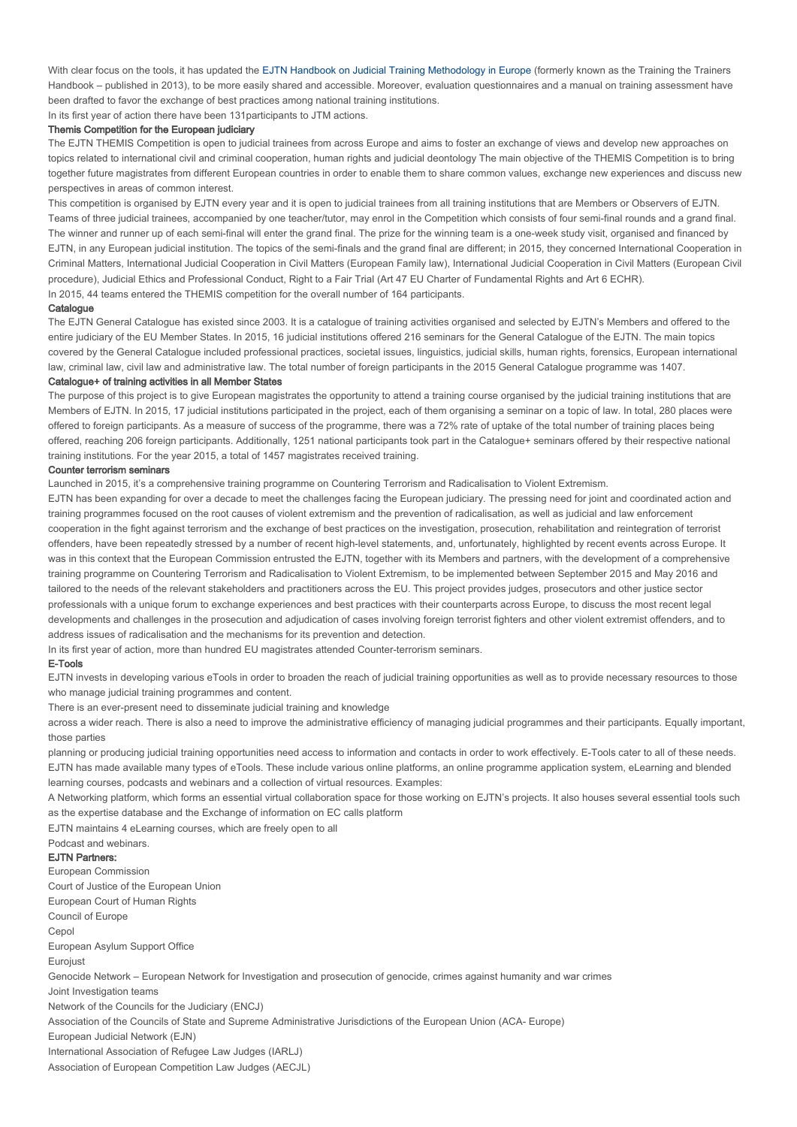With clear focus on the tools, it has updated the EJTN Handbook on Judicial Training Methodology in Europe (formerly known as the Training the Trainers Handbook – published in 2013), to be more easily shared and accessible. Moreover, evaluation questionnaires and a manual on training assessment have been drafted to favor the exchange of best practices among national training institutions.

In its first year of action there have been 131participants to JTM actions.

# Themis Competition for the European judiciary

The EJTN THEMIS Competition is open to judicial trainees from across Europe and aims to foster an exchange of views and develop new approaches on topics related to international civil and criminal cooperation, human rights and judicial deontology The main objective of the THEMIS Competition is to bring together future magistrates from different European countries in order to enable them to share common values, exchange new experiences and discuss new perspectives in areas of common interest.

This competition is organised by EJTN every year and it is open to judicial trainees from all training institutions that are Members or Observers of EJTN. Teams of three judicial trainees, accompanied by one teacher/tutor, may enrol in the Competition which consists of four semi-final rounds and a grand final. The winner and runner up of each semi-final will enter the grand final. The prize for the winning team is a one-week study visit, organised and financed by EJTN, in any European judicial institution. The topics of the semi-finals and the grand final are different; in 2015, they concerned International Cooperation in Criminal Matters, International Judicial Cooperation in Civil Matters (European Family law), International Judicial Cooperation in Civil Matters (European Civil procedure), Judicial Ethics and Professional Conduct, Right to a Fair Trial (Art 47 EU Charter of Fundamental Rights and Art 6 ECHR). In 2015, 44 teams entered the THEMIS competition for the overall number of 164 participants.

### **Catalogue**

The EJTN General Catalogue has existed since 2003. It is a catalogue of training activities organised and selected by EJTN's Members and offered to the entire judiciary of the EU Member States. In 2015, 16 judicial institutions offered 216 seminars for the General Catalogue of the EJTN. The main topics covered by the General Catalogue included professional practices, societal issues, linguistics, judicial skills, human rights, forensics, European international law, criminal law, civil law and administrative law. The total number of foreign participants in the 2015 General Catalogue programme was 1407.

# Catalogue+ of training activities in all Member States

The purpose of this project is to give European magistrates the opportunity to attend a training course organised by the judicial training institutions that are Members of EJTN. In 2015, 17 judicial institutions participated in the project, each of them organising a seminar on a topic of law. In total, 280 places were offered to foreign participants. As a measure of success of the programme, there was a 72% rate of uptake of the total number of training places being offered, reaching 206 foreign participants. Additionally, 1251 national participants took part in the Catalogue+ seminars offered by their respective national training institutions. For the year 2015, a total of 1457 magistrates received training.

# Counter terrorism seminars

Launched in 2015, it's a comprehensive training programme on Countering Terrorism and Radicalisation to Violent Extremism.

EJTN has been expanding for over a decade to meet the challenges facing the European judiciary. The pressing need for joint and coordinated action and training programmes focused on the root causes of violent extremism and the prevention of radicalisation, as well as judicial and law enforcement cooperation in the fight against terrorism and the exchange of best practices on the investigation, prosecution, rehabilitation and reintegration of terrorist offenders, have been repeatedly stressed by a number of recent high-level statements, and, unfortunately, highlighted by recent events across Europe. It was in this context that the European Commission entrusted the EJTN, together with its Members and partners, with the development of a comprehensive training programme on Countering Terrorism and Radicalisation to Violent Extremism, to be implemented between September 2015 and May 2016 and tailored to the needs of the relevant stakeholders and practitioners across the EU. This project provides judges, prosecutors and other justice sector professionals with a unique forum to exchange experiences and best practices with their counterparts across Europe, to discuss the most recent legal developments and challenges in the prosecution and adjudication of cases involving foreign terrorist fighters and other violent extremist offenders, and to address issues of radicalisation and the mechanisms for its prevention and detection.

In its first year of action, more than hundred EU magistrates attended Counter-terrorism seminars.

# E-Tools

EJTN invests in developing various eTools in order to broaden the reach of judicial training opportunities as well as to provide necessary resources to those who manage judicial training programmes and content.

There is an ever-present need to disseminate judicial training and knowledge

across a wider reach. There is also a need to improve the administrative efficiency of managing judicial programmes and their participants. Equally important, those parties

planning or producing judicial training opportunities need access to information and contacts in order to work effectively. E-Tools cater to all of these needs. EJTN has made available many types of eTools. These include various online platforms, an online programme application system, eLearning and blended learning courses, podcasts and webinars and a collection of virtual resources. Examples:

A Networking platform, which forms an essential virtual collaboration space for those working on EJTN's projects. It also houses several essential tools such as the expertise database and the Exchange of information on EC calls platform

EJTN maintains 4 eLearning courses, which are freely open to all

EJTN Partners: Podcast and webinars. European Commission Court of Justice of the European Union European Court of Human Rights Council of Europe Cepol European Asylum Support Office Eurojust Genocide Network – European Network for Investigation and prosecution of genocide, crimes against humanity and war crimes Joint Investigation teams Network of the Councils for the Judiciary (ENCJ) Association of the Councils of State and Supreme Administrative Jurisdictions of the European Union (ACA- Europe) European Judicial Network (EJN) International Association of Refugee Law Judges (IARLJ) Association of European Competition Law Judges (AECJL)